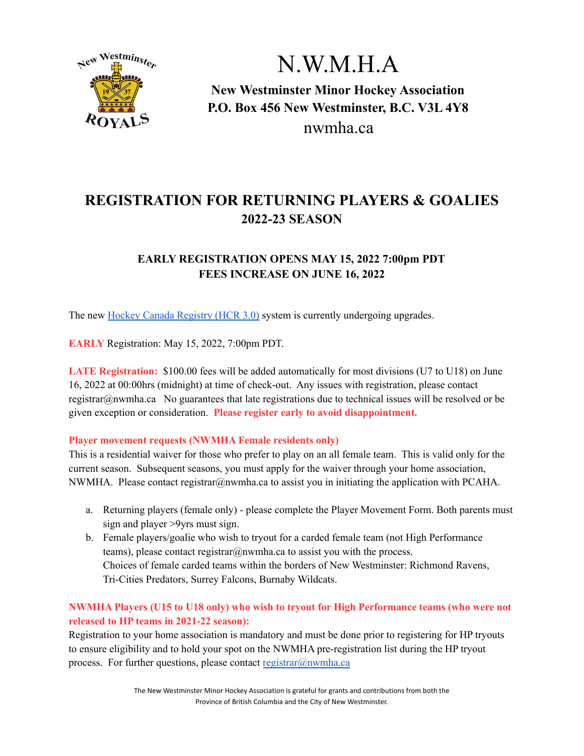

## N.W.M.H.A

## **New Westminster Minor Hockey Association P.O. Box 456 New Westminster, B.C. V3L 4Y8** nwmha.ca

## **REGISTRATION FOR RETURNING PLAYERS & GOALIES 2022-23 SEASON**

### **EARLY REGISTRATION OPENS MAY 15, 2022 7:00pm PDT FEES INCREASE ON JUNE 16, 2022**

The new Hockey Canada [Registry](https://register.hockeycanada.ca/register) (HCR 3.0) system is currently undergoing upgrades.

**EARLY** Registration: May 15, 2022, 7:00pm PDT.

**LATE Registration:** \$100.00 fees will be added automatically for most divisions (U7 to U18) on June 16, 2022 at 00:00hrs (midnight) at time of check-out. Any issues with registration, please contact registrar@nwmha.ca No guarantees that late registrations due to technical issues will be resolved or be given exception or consideration. **Please register early to avoid disappointment.**

### **Player movement requests (NWMHA Female residents only)**

This is a residential waiver for those who prefer to play on an all female team. This is valid only for the current season. Subsequent seasons, you must apply for the waiver through your home association, NWMHA. Please contact registrar@nwmha.ca to assist you in initiating the application with PCAHA.

- a. Returning players (female only) please complete the Player Movement Form. Both parents must sign and player >9yrs must sign.
- b. Female players/goalie who wish to tryout for a carded female team (not High Performance teams), please contact registrar@nwmha.ca to assist you with the process. Choices of female carded teams within the borders of New Westminster: Richmond Ravens, Tri-Cities Predators, Surrey Falcons, Burnaby Wildcats.

### **NWMHA Players (U15 to U18 only) who wish to tryout for High Performance teams (who were not released to HP teams in 2021-22 season):**

Registration to your home association is mandatory and must be done prior to registering for HP tryouts to ensure eligibility and to hold your spot on the NWMHA pre-registration list during the HP tryout process. For further questions, please contact [registrar@nwmha.ca](mailto:registrar@nwmha.ca)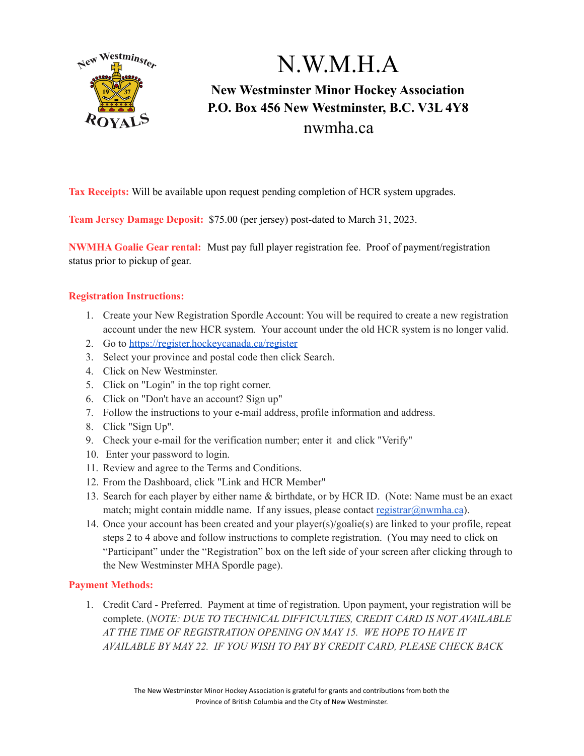

# N.W.M.H.A

## **New Westminster Minor Hockey Association P.O. Box 456 New Westminster, B.C. V3L 4Y8** nwmha.ca

**Tax Receipts:** Will be available upon request pending completion of HCR system upgrades.

**Team Jersey Damage Deposit:** \$75.00 (per jersey) post-dated to March 31, 2023.

**NWMHA Goalie Gear rental:** Must pay full player registration fee. Proof of payment/registration status prior to pickup of gear.

### **Registration Instructions:**

- 1. Create your New Registration Spordle Account: You will be required to create a new registration account under the new HCR system. Your account under the old HCR system is no longer valid.
- 2. Go to <https://register.hockeycanada.ca/register>
- 3. Select your province and postal code then click Search.
- 4. Click on New Westminster.
- 5. Click on "Login" in the top right corner.
- 6. Click on "Don't have an account? Sign up"
- 7. Follow the instructions to your e-mail address, profile information and address.
- 8. Click "Sign Up".
- 9. Check your e-mail for the verification number; enter it and click "Verify"
- 10. Enter your password to login.
- 11. Review and agree to the Terms and Conditions.
- 12. From the Dashboard, click "Link and HCR Member"
- 13. Search for each player by either name & birthdate, or by HCR ID. (Note: Name must be an exact match; might contain middle name. If any issues, please contact [registrar@nwmha.ca](mailto:registrar@nwmha.ca)).
- 14. Once your account has been created and your player(s)/goalie(s) are linked to your profile, repeat steps 2 to 4 above and follow instructions to complete registration. (You may need to click on "Participant" under the "Registration" box on the left side of your screen after clicking through to the New Westminster MHA Spordle page).

### **Payment Methods:**

1. Credit Card - Preferred. Payment at time of registration. Upon payment, your registration will be complete. (*NOTE: DUE TO TECHNICAL DIFFICULTIES, CREDIT CARD IS NOT AVAILABLE AT THE TIME OF REGISTRATION OPENING ON MAY 15. WE HOPE TO HAVE IT AVAILABLE BY MAY 22. IF YOU WISH TO PAY BY CREDIT CARD, PLEASE CHECK BACK*